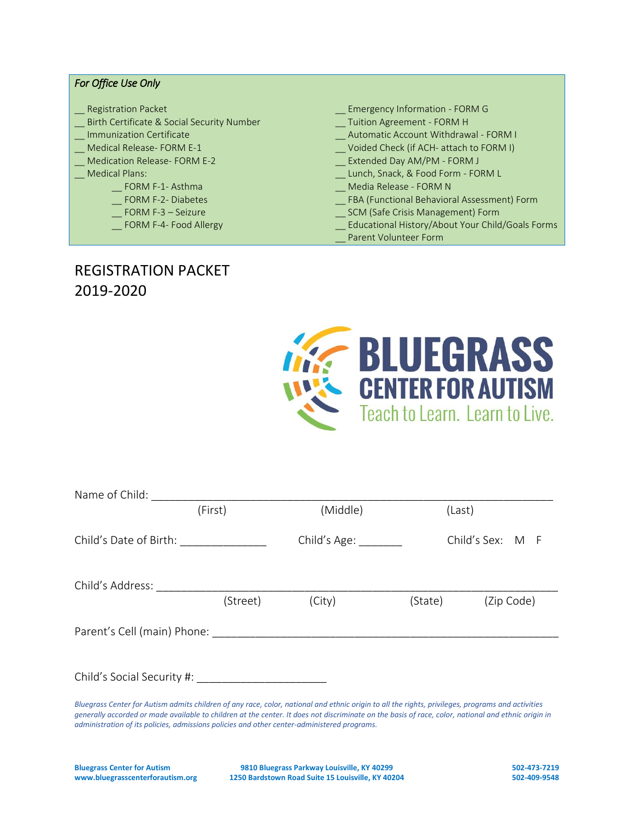#### *For Office Use Only*

- 
- \_\_ Birth Certificate & Social Security Number \_\_ Tuition Agreement FORM H
- 
- 
- 
- -
	-
	-
	-
- Registration Packet **Emergency Information FORM G** 
	-
- \_\_ Immunization Certificate \_\_ Automatic Account Withdrawal FORM I
- \_\_ Medical Release- FORM E-1 \_\_ Voided Check (if ACH- attach to FORM I)
- \_\_ Medication Release- FORM E-2 \_\_ Extended Day AM/PM FORM J
	- Lunch, Snack, & Food Form FORM L
	- \_\_ FORM F-1- Asthma \_\_ Media Release FORM N
	- \_\_ FORM F-2- Diabetes \_\_ FBA (Functional Behavioral Assessment) Form
		- FORM F-3 Seizure **Example 2018** SCM (Safe Crisis Management) Form
		- \_\_ FORM F-4- Food Allergy \_\_ Educational History/About Your Child/Goals Forms
			- Parent Volunteer Form

## REGISTRATION PACKET 2019-2020



| Name of Child:                                                                                                                                                                                                                |          |                       |         |                  |
|-------------------------------------------------------------------------------------------------------------------------------------------------------------------------------------------------------------------------------|----------|-----------------------|---------|------------------|
|                                                                                                                                                                                                                               | (First)  | (Middle)              | (Last)  |                  |
| Child's Date of Birth:                                                                                                                                                                                                        |          | Child's Age: ________ |         | Child's Sex: M F |
| Child's Address:                                                                                                                                                                                                              |          |                       |         |                  |
|                                                                                                                                                                                                                               | (Street) | (City)                | (State) | (Zip Code)       |
| Parent's Cell (main) Phone: Note that the set of the set of the set of the set of the set of the set of the set of the set of the set of the set of the set of the set of the set of the set of the set of the set of the set |          |                       |         |                  |
|                                                                                                                                                                                                                               |          |                       |         |                  |
|                                                                                                                                                                                                                               |          |                       |         |                  |
| Bluegrass Center for Autism admits children of any race, color, national and ethnic origin to all the rights, privileges, programs and activities                                                                             |          |                       |         |                  |

*generally accorded or made available to children at the center. It does not discriminate on the basis of race, color, national and ethnic origin in administration of its policies, admissions policies and other center-administered programs.* 

**Bluegrass Center for Autism 9810 Bluegrass Parkway Louisville, KY 40299 502-473-7219 www.bluegrasscenterforautism.org 1250 Bardstown Road Suite 15 Louisville, KY 40204 502-409-9548**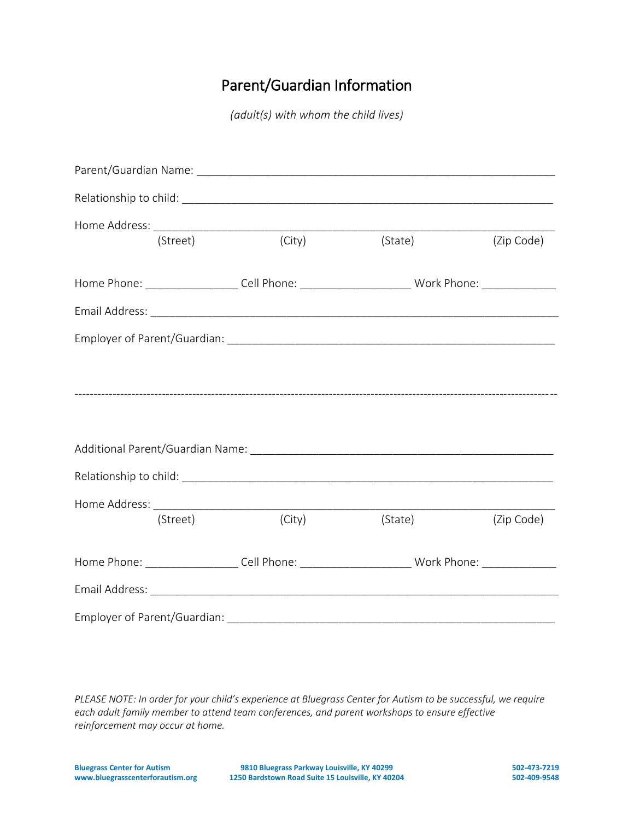# Parent/Guardian Information

*(adult(s) with whom the child lives)*

|          | (Street)                                                                                            |        | (City) (State) (Zip Code)                                                                            |            |
|----------|-----------------------------------------------------------------------------------------------------|--------|------------------------------------------------------------------------------------------------------|------------|
|          |                                                                                                     |        | Home Phone: ______________________Cell Phone: ____________________________Work Phone: ______________ |            |
|          |                                                                                                     |        |                                                                                                      |            |
|          |                                                                                                     |        |                                                                                                      |            |
|          |                                                                                                     |        |                                                                                                      |            |
|          |                                                                                                     |        |                                                                                                      |            |
|          |                                                                                                     |        |                                                                                                      |            |
|          |                                                                                                     |        |                                                                                                      |            |
|          |                                                                                                     |        |                                                                                                      |            |
|          |                                                                                                     |        |                                                                                                      |            |
| (Street) |                                                                                                     | (City) | (State)                                                                                              | (Zip Code) |
|          | Home Phone: ____________________Cell Phone: __________________________Work Phone: _________________ |        |                                                                                                      |            |
|          |                                                                                                     |        |                                                                                                      |            |
|          |                                                                                                     |        |                                                                                                      |            |

*PLEASE NOTE: In order for your child's experience at Bluegrass Center for Autism to be successful, we require each adult family member to attend team conferences, and parent workshops to ensure effective reinforcement may occur at home.*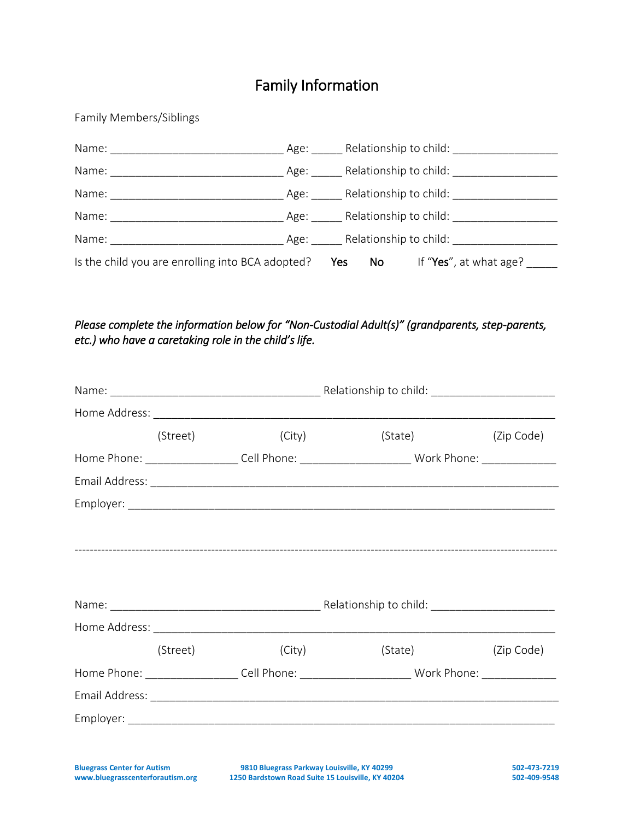# Family Information

Family Members/Siblings

|                                                  |                   |                             | Age: Relationship to child: |
|--------------------------------------------------|-------------------|-----------------------------|-----------------------------|
| Name:                                            |                   | Age: Relationship to child: |                             |
| Name:                                            |                   | Age: Relationship to child: |                             |
| Name:                                            |                   | Age: Relationship to child: |                             |
| Name:                                            | Age:              | Relationship to child:      |                             |
| Is the child you are enrolling into BCA adopted? | <b>Parage Yes</b> | No lim                      | If "Yes", at what age?      |

### *Please complete the information below for "Non-Custodial Adult(s)" (grandparents, step-parents, etc.) who have a caretaking role in the child's life.*

| (Street) |  |  |                                                                                                                                                                                                                                                                 |  |
|----------|--|--|-----------------------------------------------------------------------------------------------------------------------------------------------------------------------------------------------------------------------------------------------------------------|--|
|          |  |  |                                                                                                                                                                                                                                                                 |  |
|          |  |  |                                                                                                                                                                                                                                                                 |  |
|          |  |  |                                                                                                                                                                                                                                                                 |  |
|          |  |  |                                                                                                                                                                                                                                                                 |  |
|          |  |  |                                                                                                                                                                                                                                                                 |  |
|          |  |  |                                                                                                                                                                                                                                                                 |  |
|          |  |  |                                                                                                                                                                                                                                                                 |  |
|          |  |  |                                                                                                                                                                                                                                                                 |  |
| (Street) |  |  | (Zip Code)                                                                                                                                                                                                                                                      |  |
|          |  |  |                                                                                                                                                                                                                                                                 |  |
|          |  |  |                                                                                                                                                                                                                                                                 |  |
|          |  |  |                                                                                                                                                                                                                                                                 |  |
|          |  |  | (City)<br>(State) (Zip Code)<br>Home Phone: _____________________Cell Phone: ___________________________Work Phone: _______________<br>(City)<br>(State)<br>Home Phone: ____________________Cell Phone: ___________________________Work Phone: ________________ |  |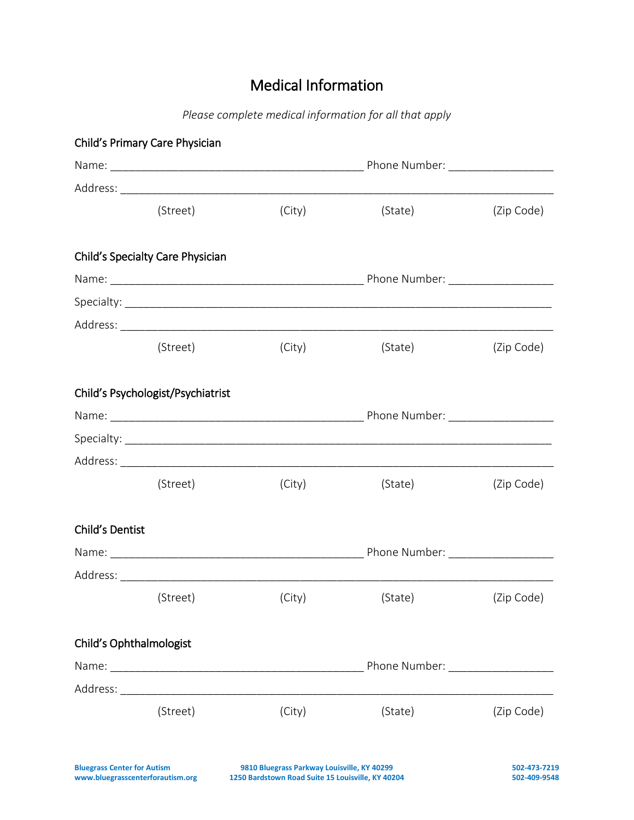# Medical Information

*Please complete medical information for all that apply*

|                         | Child's Primary Care Physician    |        |         |            |
|-------------------------|-----------------------------------|--------|---------|------------|
|                         |                                   |        |         |            |
|                         |                                   |        |         |            |
|                         | (Street)                          | (City) | (State) | (Zip Code) |
|                         | Child's Specialty Care Physician  |        |         |            |
|                         |                                   |        |         |            |
|                         |                                   |        |         |            |
|                         |                                   |        |         |            |
|                         | (Street)                          | (City) | (State) | (Zip Code) |
|                         | Child's Psychologist/Psychiatrist |        |         |            |
|                         |                                   |        |         |            |
|                         |                                   |        |         |            |
|                         |                                   |        |         |            |
|                         | (Street)                          | (City) | (State) | (Zip Code) |
| Child's Dentist         |                                   |        |         |            |
|                         |                                   |        |         |            |
|                         |                                   |        |         |            |
|                         | (Street)                          | (City) | (State) | (Zip Code) |
| Child's Ophthalmologist |                                   |        |         |            |
|                         |                                   |        |         |            |
|                         |                                   |        |         |            |
|                         | (Street)                          | (City) | (State) | (Zip Code) |
|                         |                                   |        |         |            |
|                         |                                   |        |         |            |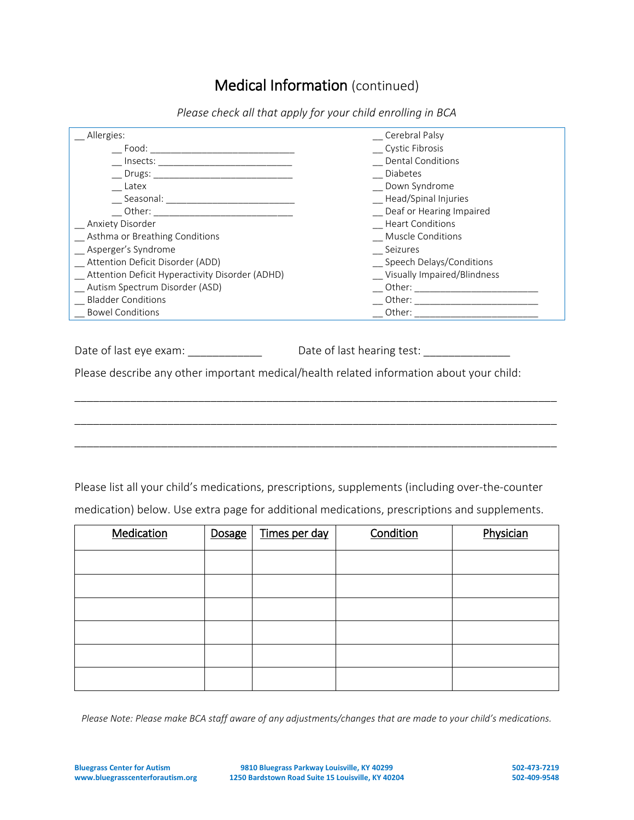## Medical Information (continued)

| Allergies:                                                                                                                                                                                                                    | Cerebral Palsy                                                                                                                                                                                                                 |
|-------------------------------------------------------------------------------------------------------------------------------------------------------------------------------------------------------------------------------|--------------------------------------------------------------------------------------------------------------------------------------------------------------------------------------------------------------------------------|
| Food:                                                                                                                                                                                                                         | <b>Cystic Fibrosis</b>                                                                                                                                                                                                         |
| Insects:                                                                                                                                                                                                                      | <b>Dental Conditions</b>                                                                                                                                                                                                       |
| Drugs:                                                                                                                                                                                                                        | <b>Diabetes</b>                                                                                                                                                                                                                |
| Latex                                                                                                                                                                                                                         | Down Syndrome                                                                                                                                                                                                                  |
| Seasonal: The contract of the contract of the contract of the contract of the contract of the contract of the contract of the contract of the contract of the contract of the contract of the contract of the contract of the | _ Head/Spinal Injuries                                                                                                                                                                                                         |
|                                                                                                                                                                                                                               | Deaf or Hearing Impaired                                                                                                                                                                                                       |
| <b>Anxiety Disorder</b>                                                                                                                                                                                                       | <b>Heart Conditions</b>                                                                                                                                                                                                        |
| Asthma or Breathing Conditions                                                                                                                                                                                                | Muscle Conditions                                                                                                                                                                                                              |
| Asperger's Syndrome                                                                                                                                                                                                           | Seizures                                                                                                                                                                                                                       |
| Attention Deficit Disorder (ADD)                                                                                                                                                                                              | Speech Delays/Conditions                                                                                                                                                                                                       |
| Attention Deficit Hyperactivity Disorder (ADHD)                                                                                                                                                                               | Visually Impaired/Blindness                                                                                                                                                                                                    |
| Autism Spectrum Disorder (ASD)                                                                                                                                                                                                | Other: and the control of the control of the control of the control of the control of the control of the control of the control of the control of the control of the control of the control of the control of the control of t |
| <b>Bladder Conditions</b>                                                                                                                                                                                                     |                                                                                                                                                                                                                                |
| <b>Bowel Conditions</b>                                                                                                                                                                                                       | Other:                                                                                                                                                                                                                         |
|                                                                                                                                                                                                                               |                                                                                                                                                                                                                                |

*Please check all that apply for your child enrolling in BCA*

Date of last eye exam: \_\_\_\_\_\_\_\_\_\_\_\_\_\_\_\_\_\_\_\_\_\_\_\_\_Date of last hearing test: \_\_\_\_\_\_\_\_\_\_\_\_\_\_\_\_\_\_\_\_\_\_\_\_\_\_\_\_\_\_\_\_\_\_\_

Please describe any other important medical/health related information about your child:

\_\_\_\_\_\_\_\_\_\_\_\_\_\_\_\_\_\_\_\_\_\_\_\_\_\_\_\_\_\_\_\_\_\_\_\_\_\_\_\_\_\_\_\_\_\_\_\_\_\_\_\_\_\_\_\_\_\_\_\_\_\_\_\_\_\_\_\_\_\_\_\_\_\_\_\_\_\_

\_\_\_\_\_\_\_\_\_\_\_\_\_\_\_\_\_\_\_\_\_\_\_\_\_\_\_\_\_\_\_\_\_\_\_\_\_\_\_\_\_\_\_\_\_\_\_\_\_\_\_\_\_\_\_\_\_\_\_\_\_\_\_\_\_\_\_\_\_\_\_\_\_\_\_\_\_\_

\_\_\_\_\_\_\_\_\_\_\_\_\_\_\_\_\_\_\_\_\_\_\_\_\_\_\_\_\_\_\_\_\_\_\_\_\_\_\_\_\_\_\_\_\_\_\_\_\_\_\_\_\_\_\_\_\_\_\_\_\_\_\_\_\_\_\_\_\_\_\_\_\_\_\_\_\_\_

Please list all your child's medications, prescriptions, supplements (including over-the-counter

medication) below. Use extra page for additional medications, prescriptions and supplements.

| Medication | Dosage | Times per day | Condition | Physician |
|------------|--------|---------------|-----------|-----------|
|            |        |               |           |           |
|            |        |               |           |           |
|            |        |               |           |           |
|            |        |               |           |           |
|            |        |               |           |           |
|            |        |               |           |           |

*Please Note: Please make BCA staff aware of any adjustments/changes that are made to your child's medications.*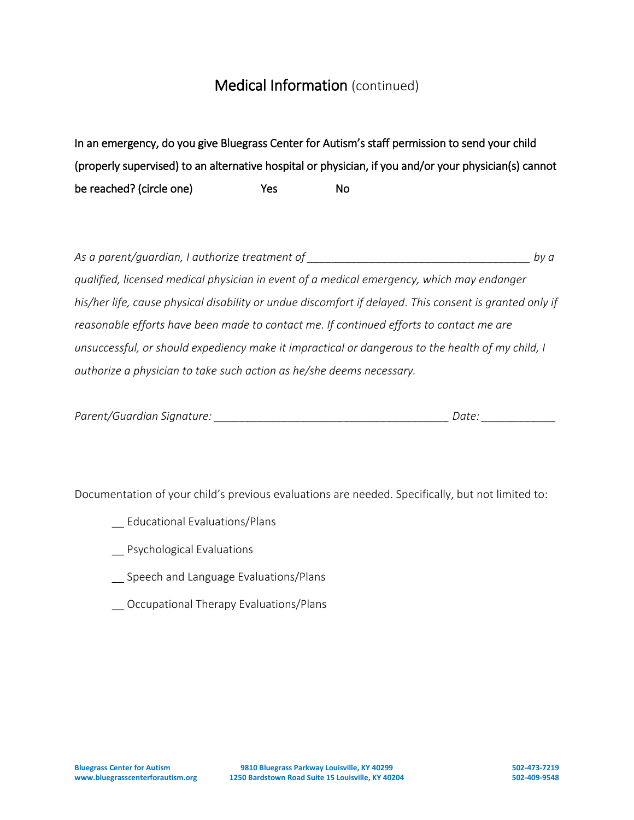## Medical Information (continued)

In an emergency, do you give Bluegrass Center for Autism's staff permission to send your child (properly supervised) to an alternative hospital or physician, if you and/or your physician(s) cannot be reached? (circle one) The Ses No

*As a parent/guardian, I authorize treatment of \_\_\_\_\_\_\_\_\_\_\_\_\_\_\_\_\_\_\_\_\_\_\_\_\_\_\_\_\_\_\_\_\_\_\_\_ by a qualified, licensed medical physician in event of a medical emergency, which may endanger his/her life, cause physical disability or undue discomfort if delayed. This consent is granted only if reasonable efforts have been made to contact me. If continued efforts to contact me are unsuccessful, or should expediency make it impractical or dangerous to the health of my child, I authorize a physician to take such action as he/she deems necessary.* 

| Parent/Guardian Signature: | Date. |
|----------------------------|-------|
|----------------------------|-------|

Documentation of your child's previous evaluations are needed. Specifically, but not limited to:

- \_\_ Educational Evaluations/Plans
- \_\_ Psychological Evaluations
- \_\_ Speech and Language Evaluations/Plans
- \_\_ Occupational Therapy Evaluations/Plans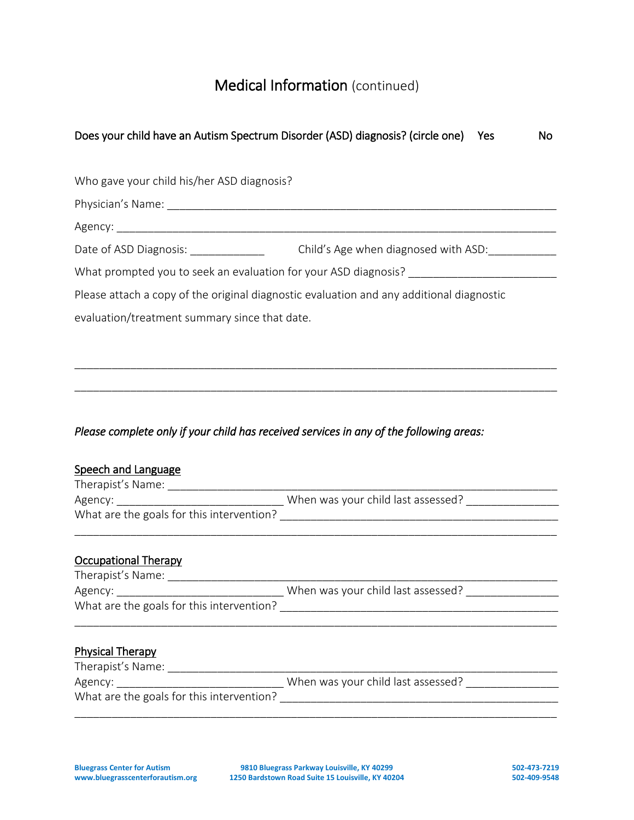# Medical Information (continued)

| Does your child have an Autism Spectrum Disorder (ASD) diagnosis? (circle one)           | Yes                                  | No. |
|------------------------------------------------------------------------------------------|--------------------------------------|-----|
| Who gave your child his/her ASD diagnosis?                                               |                                      |     |
|                                                                                          |                                      |     |
|                                                                                          |                                      |     |
| Date of ASD Diagnosis:                                                                   | Child's Age when diagnosed with ASD: |     |
| What prompted you to seek an evaluation for your ASD diagnosis?                          |                                      |     |
| Please attach a copy of the original diagnostic evaluation and any additional diagnostic |                                      |     |
| evaluation/treatment summary since that date.                                            |                                      |     |
|                                                                                          |                                      |     |
|                                                                                          |                                      |     |

\_\_\_\_\_\_\_\_\_\_\_\_\_\_\_\_\_\_\_\_\_\_\_\_\_\_\_\_\_\_\_\_\_\_\_\_\_\_\_\_\_\_\_\_\_\_\_\_\_\_\_\_\_\_\_\_\_\_\_\_\_\_\_\_\_\_\_\_\_\_\_\_\_\_\_\_\_\_

### *Please complete only if your child has received services in any of the following areas:*

| Speech and Language                       |                                                                               |
|-------------------------------------------|-------------------------------------------------------------------------------|
|                                           |                                                                               |
|                                           |                                                                               |
|                                           |                                                                               |
|                                           |                                                                               |
| <b>Occupational Therapy</b>               |                                                                               |
|                                           |                                                                               |
|                                           | Agency: __________________________________ When was your child last assessed? |
|                                           |                                                                               |
|                                           |                                                                               |
| <b>Physical Therapy</b>                   |                                                                               |
|                                           |                                                                               |
|                                           | Agency: ________________________________When was your child last assessed?    |
| What are the goals for this intervention? |                                                                               |
|                                           |                                                                               |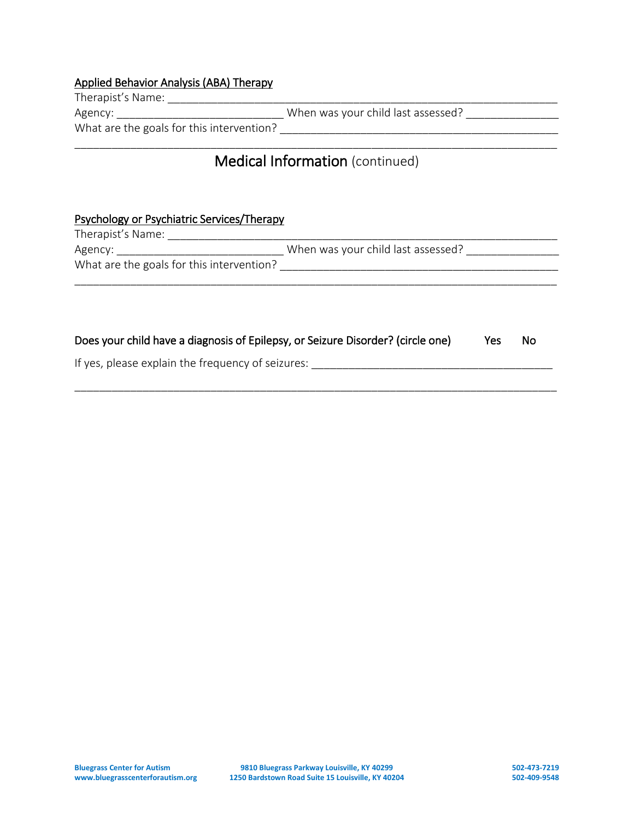# Applied Behavior Analysis (ABA) Therapy

| Therapist's Name:                         |                                    |  |
|-------------------------------------------|------------------------------------|--|
| Agency:                                   | When was your child last assessed? |  |
| What are the goals for this intervention? |                                    |  |

## \_\_\_\_\_\_\_\_\_\_\_\_\_\_\_\_\_\_\_\_\_\_\_\_\_\_\_\_\_\_\_\_\_\_\_\_\_\_\_\_\_\_\_\_\_\_\_\_\_\_\_\_\_\_\_\_\_\_\_\_\_\_\_\_\_\_\_\_\_\_\_\_\_\_\_\_\_\_ Medical Information (continued)

### Psychology or Psychiatric Services/Therapy

| Therapist's Name:                         |                                    |  |
|-------------------------------------------|------------------------------------|--|
| Agency:                                   | When was your child last assessed? |  |
| What are the goals for this intervention? |                                    |  |
|                                           |                                    |  |

| Does your child have a diagnosis of Epilepsy, or Seizure Disorder? (circle one) | Yes No |  |
|---------------------------------------------------------------------------------|--------|--|
|---------------------------------------------------------------------------------|--------|--|

\_\_\_\_\_\_\_\_\_\_\_\_\_\_\_\_\_\_\_\_\_\_\_\_\_\_\_\_\_\_\_\_\_\_\_\_\_\_\_\_\_\_\_\_\_\_\_\_\_\_\_\_\_\_\_\_\_\_\_\_\_\_\_\_\_\_\_\_\_\_\_\_\_\_\_\_\_\_

If yes, please explain the frequency of seizures: \_\_\_\_\_\_\_\_\_\_\_\_\_\_\_\_\_\_\_\_\_\_\_\_\_\_\_\_\_\_\_\_\_\_\_\_\_\_\_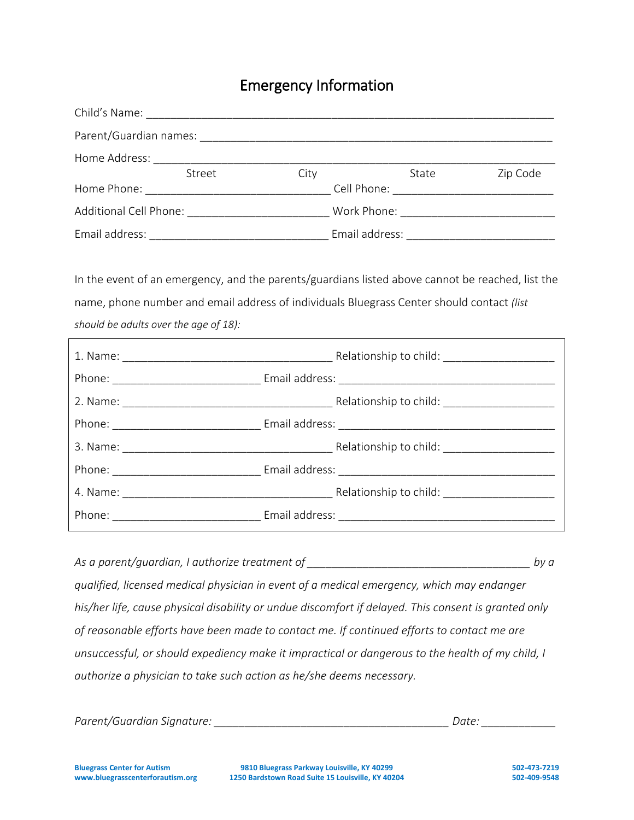## Emergency Information

| Child's Name:                         |                |      |       |          |
|---------------------------------------|----------------|------|-------|----------|
| Parent/Guardian names:                |                |      |       |          |
| Home Address:                         |                |      |       |          |
|                                       | Street         | City | State | Zip Code |
| Home Phone:                           | Cell Phone:    |      |       |          |
| Additional Cell Phone:<br>Work Phone: |                |      |       |          |
| Email address:                        | Email address: |      |       |          |

In the event of an emergency, and the parents/guardians listed above cannot be reached, list the name, phone number and email address of individuals Bluegrass Center should contact *(list should be adults over the age of 18):*

As a parent/guardian, I authorize treatment of **and all all and a set of a** by a **by a** by a *qualified, licensed medical physician in event of a medical emergency, which may endanger his/her life, cause physical disability or undue discomfort if delayed. This consent is granted only of reasonable efforts have been made to contact me. If continued efforts to contact me are unsuccessful, or should expediency make it impractical or dangerous to the health of my child, I authorize a physician to take such action as he/she deems necessary.* 

| Parent/Guardian Signature: | Date. |
|----------------------------|-------|
|----------------------------|-------|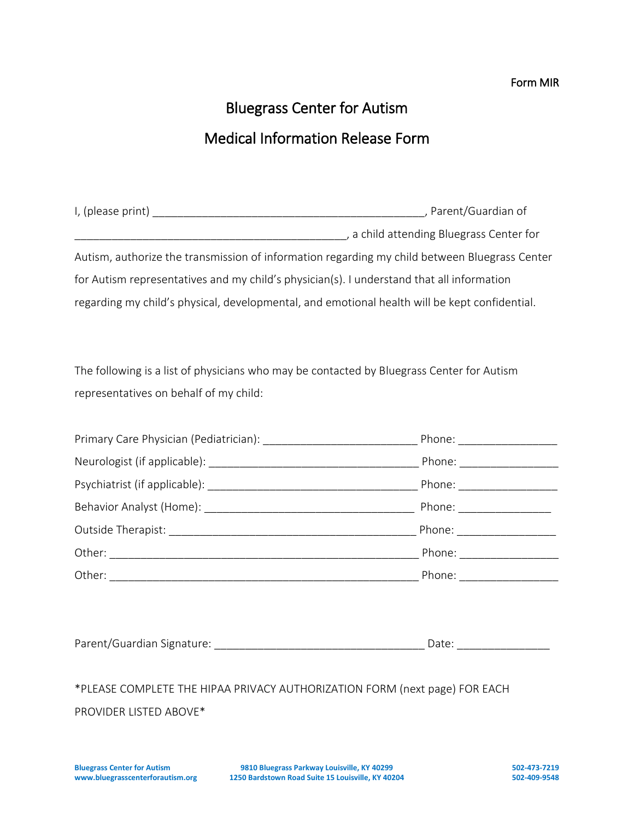### Form MIR

# Bluegrass Center for Autism Medical Information Release Form

| I, (please print) | , Parent/Guardian of                                                                          |  |
|-------------------|-----------------------------------------------------------------------------------------------|--|
|                   | , a child attending Bluegrass Center for                                                      |  |
|                   | Autism, authorize the transmission of information regarding my child between Bluegrass Center |  |
|                   | for Autism representatives and my child's physician(s). I understand that all information     |  |
|                   | regarding my child's physical, developmental, and emotional health will be kept confidential. |  |

The following is a list of physicians who may be contacted by Bluegrass Center for Autism representatives on behalf of my child:

| *PLEASE COMPLETE THE HIPAA PRIVACY AUTHORIZATION FORM (next page) FOR EACH |  |  |
|----------------------------------------------------------------------------|--|--|
| PROVIDER LISTED ABOVE*                                                     |  |  |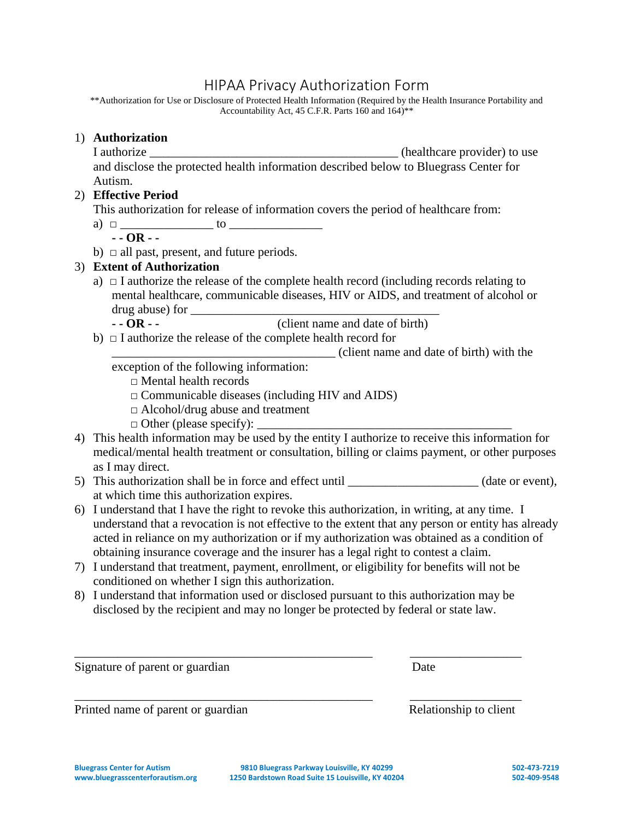## HIPAA Privacy Authorization Form

\*\*Authorization for Use or Disclosure of Protected Health Information (Required by the Health Insurance Portability and Accountability Act, 45 C.F.R. Parts 160 and 164)\*\*

### 1) **Authorization**

I authorize **I** authorize **I** authorize **I** authorize **I** authorize **I** and  $\overline{a}$  and  $\overline{b}$  and  $\overline{c}$  and  $\overline{d}$  and  $\overline{b}$  and  $\overline{b}$  and  $\overline{c}$  and  $\overline{d}$  and  $\overline{b}$  and  $\overline{c}$  and  $\overline{d}$  and  $\over$ and disclose the protected health information described below to Bluegrass Center for Autism.

### 2) **Effective Period**

This authorization for release of information covers the period of healthcare from:

a) **□** \_\_\_\_\_\_\_\_\_\_\_\_\_\_\_ to \_\_\_\_\_\_\_\_\_\_\_\_\_\_\_

**- - OR - -**

b) **□** all past, present, and future periods.

### 3) **Extent of Authorization**

- a)  $\Box$  I authorize the release of the complete health record (including records relating to mental healthcare, communicable diseases, HIV or AIDS, and treatment of alcohol or drug abuse) for
	- **- - OR - -** (client name and date of birth)
- b) **□** I authorize the release of the complete health record for

\_\_\_\_\_\_\_\_\_\_\_\_\_\_\_\_\_\_\_\_\_\_\_\_\_\_\_\_\_\_\_\_\_\_\_\_ (client name and date of birth) with the

exception of the following information:

- **□** Mental health records
- **□** Communicable diseases (including HIV and AIDS)
- **□** Alcohol/drug abuse and treatment
- $\Box$  Other (please specify):
- 4) This health information may be used by the entity I authorize to receive this information for medical/mental health treatment or consultation, billing or claims payment, or other purposes as I may direct.
- 5) This authorization shall be in force and effect until \_\_\_\_\_\_\_\_\_\_\_\_\_\_\_\_\_\_\_\_(date or event), at which time this authorization expires.
- 6) I understand that I have the right to revoke this authorization, in writing, at any time. I understand that a revocation is not effective to the extent that any person or entity has already acted in reliance on my authorization or if my authorization was obtained as a condition of obtaining insurance coverage and the insurer has a legal right to contest a claim.
- 7) I understand that treatment, payment, enrollment, or eligibility for benefits will not be conditioned on whether I sign this authorization.
- 8) I understand that information used or disclosed pursuant to this authorization may be disclosed by the recipient and may no longer be protected by federal or state law.

\_\_\_\_\_\_\_\_\_\_\_\_\_\_\_\_\_\_\_\_\_\_\_\_\_\_\_\_\_\_\_\_\_\_\_\_\_\_\_\_\_\_\_\_\_\_\_\_ \_\_\_\_\_\_\_\_\_\_\_\_\_\_\_\_\_\_

\_\_\_\_\_\_\_\_\_\_\_\_\_\_\_\_\_\_\_\_\_\_\_\_\_\_\_\_\_\_\_\_\_\_\_\_\_\_\_\_\_\_\_\_\_\_\_\_ \_\_\_\_\_\_\_\_\_\_\_\_\_\_\_\_\_\_

Signature of parent or guardian Date

Printed name of parent or guardian Relationship to client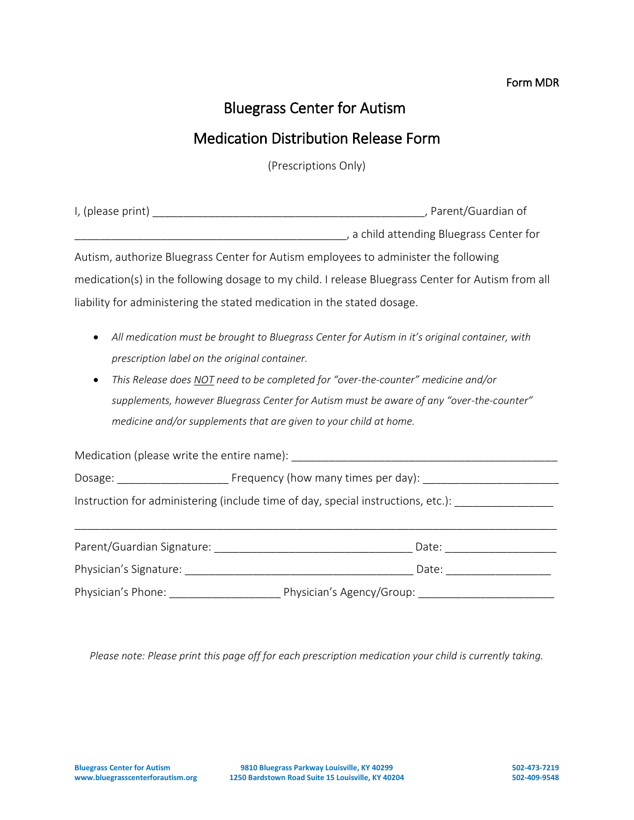### Form MDR

# Bluegrass Center for Autism

## Medication Distribution Release Form

(Prescriptions Only)

|                                                                                     | a child attending Bluegrass Center for (2008) and 2008 (2018) a child attending Bluegrass Center for |
|-------------------------------------------------------------------------------------|------------------------------------------------------------------------------------------------------|
| Autism, authorize Bluegrass Center for Autism employees to administer the following |                                                                                                      |
|                                                                                     | medication(s) in the following dosage to my child. I release Bluegrass Center for Autism from all    |
| liability for administering the stated medication in the stated dosage.             |                                                                                                      |
|                                                                                     | All medication must be brought to Bluegrass Center for Autism in it's original container, with       |
| prescription label on the original container.                                       |                                                                                                      |
| $\bullet$                                                                           | This Release does NOT need to be completed for "over-the-counter" medicine and/or                    |
|                                                                                     | supplements, however Bluegrass Center for Autism must be aware of any "over-the-counter"             |
| medicine and/or supplements that are given to your child at home.                   |                                                                                                      |
|                                                                                     |                                                                                                      |
|                                                                                     |                                                                                                      |
|                                                                                     | Instruction for administering (include time of day, special instructions, etc.): __________________  |
|                                                                                     |                                                                                                      |
|                                                                                     |                                                                                                      |
|                                                                                     |                                                                                                      |

*Please note: Please print this page off for each prescription medication your child is currently taking.*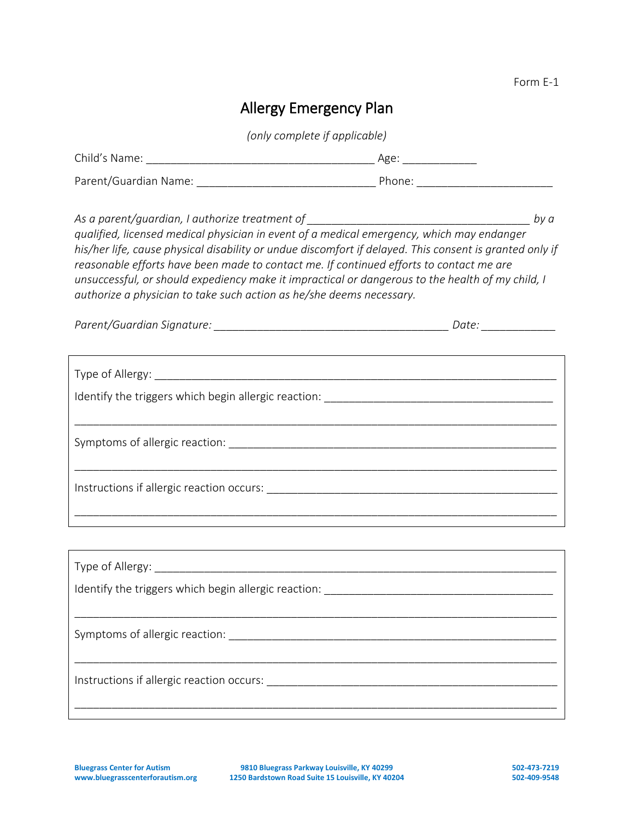# Allergy Emergency Plan

*(only complete if applicable)*

| qualified, licensed medical physician in event of a medical emergency, which may endanger<br>his/her life, cause physical disability or undue discomfort if delayed. This consent is granted only if<br>reasonable efforts have been made to contact me. If continued efforts to contact me are<br>unsuccessful, or should expediency make it impractical or dangerous to the health of my child, I<br>authorize a physician to take such action as he/she deems necessary. |  |
|-----------------------------------------------------------------------------------------------------------------------------------------------------------------------------------------------------------------------------------------------------------------------------------------------------------------------------------------------------------------------------------------------------------------------------------------------------------------------------|--|
|                                                                                                                                                                                                                                                                                                                                                                                                                                                                             |  |
|                                                                                                                                                                                                                                                                                                                                                                                                                                                                             |  |
|                                                                                                                                                                                                                                                                                                                                                                                                                                                                             |  |
|                                                                                                                                                                                                                                                                                                                                                                                                                                                                             |  |
|                                                                                                                                                                                                                                                                                                                                                                                                                                                                             |  |
|                                                                                                                                                                                                                                                                                                                                                                                                                                                                             |  |
|                                                                                                                                                                                                                                                                                                                                                                                                                                                                             |  |
|                                                                                                                                                                                                                                                                                                                                                                                                                                                                             |  |
|                                                                                                                                                                                                                                                                                                                                                                                                                                                                             |  |
|                                                                                                                                                                                                                                                                                                                                                                                                                                                                             |  |
| Instructions if allergic reaction occurs:                                                                                                                                                                                                                                                                                                                                                                                                                                   |  |

\_\_\_\_\_\_\_\_\_\_\_\_\_\_\_\_\_\_\_\_\_\_\_\_\_\_\_\_\_\_\_\_\_\_\_\_\_\_\_\_\_\_\_\_\_\_\_\_\_\_\_\_\_\_\_\_\_\_\_\_\_\_\_\_\_\_\_\_\_\_\_\_\_\_\_\_\_\_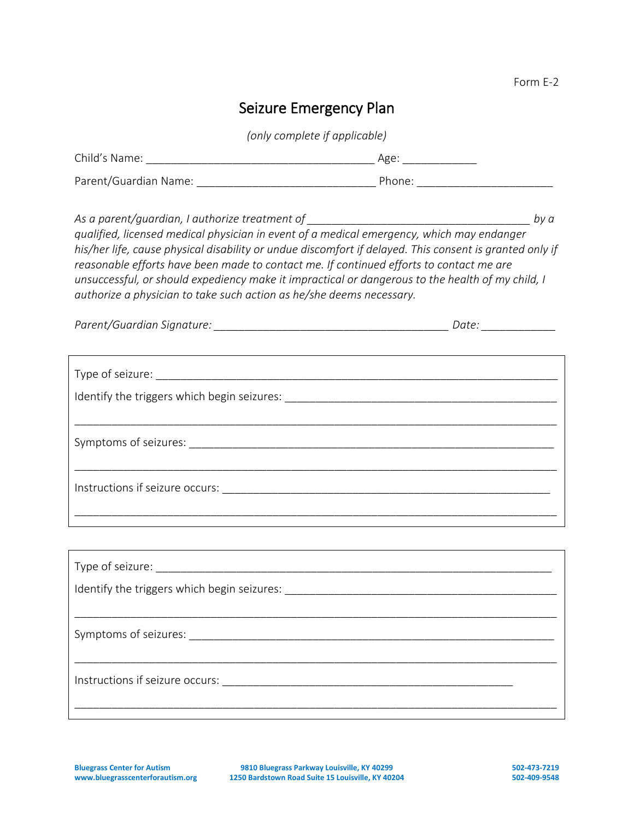# Seizure Emergency Plan

*(only complete if applicable)*

| As a parent/guardian, I authorize treatment of __________________________________<br>qualified, licensed medical physician in event of a medical emergency, which may endanger<br>his/her life, cause physical disability or undue discomfort if delayed. This consent is granted only if<br>reasonable efforts have been made to contact me. If continued efforts to contact me are<br>unsuccessful, or should expediency make it impractical or dangerous to the health of my child, I<br>authorize a physician to take such action as he/she deems necessary. | by a |
|------------------------------------------------------------------------------------------------------------------------------------------------------------------------------------------------------------------------------------------------------------------------------------------------------------------------------------------------------------------------------------------------------------------------------------------------------------------------------------------------------------------------------------------------------------------|------|
|                                                                                                                                                                                                                                                                                                                                                                                                                                                                                                                                                                  |      |
|                                                                                                                                                                                                                                                                                                                                                                                                                                                                                                                                                                  |      |
|                                                                                                                                                                                                                                                                                                                                                                                                                                                                                                                                                                  |      |
|                                                                                                                                                                                                                                                                                                                                                                                                                                                                                                                                                                  |      |
|                                                                                                                                                                                                                                                                                                                                                                                                                                                                                                                                                                  |      |
|                                                                                                                                                                                                                                                                                                                                                                                                                                                                                                                                                                  |      |
|                                                                                                                                                                                                                                                                                                                                                                                                                                                                                                                                                                  |      |
|                                                                                                                                                                                                                                                                                                                                                                                                                                                                                                                                                                  |      |
| Instructions if seizure occurs:                                                                                                                                                                                                                                                                                                                                                                                                                                                                                                                                  |      |

\_\_\_\_\_\_\_\_\_\_\_\_\_\_\_\_\_\_\_\_\_\_\_\_\_\_\_\_\_\_\_\_\_\_\_\_\_\_\_\_\_\_\_\_\_\_\_\_\_\_\_\_\_\_\_\_\_\_\_\_\_\_\_\_\_\_\_\_\_\_\_\_\_\_\_\_\_\_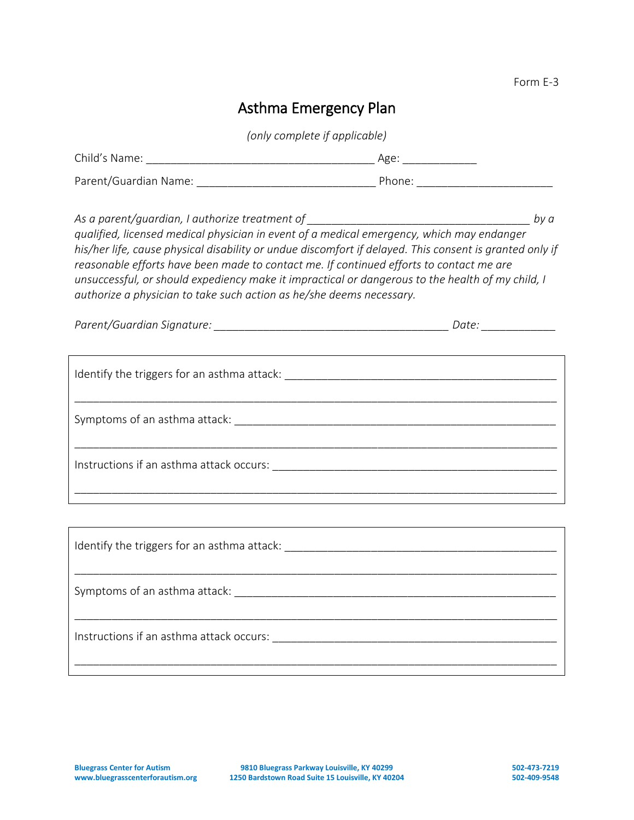# Asthma Emergency Plan

*(only complete if applicable)*

| qualified, licensed medical physician in event of a medical emergency, which may endanger<br>his/her life, cause physical disability or undue discomfort if delayed. This consent is granted only if<br>reasonable efforts have been made to contact me. If continued efforts to contact me are<br>unsuccessful, or should expediency make it impractical or dangerous to the health of my child, I<br>authorize a physician to take such action as he/she deems necessary. |  |
|-----------------------------------------------------------------------------------------------------------------------------------------------------------------------------------------------------------------------------------------------------------------------------------------------------------------------------------------------------------------------------------------------------------------------------------------------------------------------------|--|
| ,我们也不会有什么。""我们的人,我们也不会有什么?""我们的人,我们也不会有什么?""我们的人,我们也不会有什么?""我们的人,我们也不会有什么?""我们的人                                                                                                                                                                                                                                                                                                                                                                                            |  |
|                                                                                                                                                                                                                                                                                                                                                                                                                                                                             |  |
|                                                                                                                                                                                                                                                                                                                                                                                                                                                                             |  |
|                                                                                                                                                                                                                                                                                                                                                                                                                                                                             |  |
|                                                                                                                                                                                                                                                                                                                                                                                                                                                                             |  |
|                                                                                                                                                                                                                                                                                                                                                                                                                                                                             |  |
|                                                                                                                                                                                                                                                                                                                                                                                                                                                                             |  |

Instructions if an asthma attack occurs: \_\_\_\_\_\_\_\_\_\_\_\_\_\_\_\_\_\_\_\_\_\_\_\_\_\_\_\_\_\_\_\_\_\_\_\_\_\_\_\_\_\_\_\_\_\_

\_\_\_\_\_\_\_\_\_\_\_\_\_\_\_\_\_\_\_\_\_\_\_\_\_\_\_\_\_\_\_\_\_\_\_\_\_\_\_\_\_\_\_\_\_\_\_\_\_\_\_\_\_\_\_\_\_\_\_\_\_\_\_\_\_\_\_\_\_\_\_\_\_\_\_\_\_\_

\_\_\_\_\_\_\_\_\_\_\_\_\_\_\_\_\_\_\_\_\_\_\_\_\_\_\_\_\_\_\_\_\_\_\_\_\_\_\_\_\_\_\_\_\_\_\_\_\_\_\_\_\_\_\_\_\_\_\_\_\_\_\_\_\_\_\_\_\_\_\_\_\_\_\_\_\_\_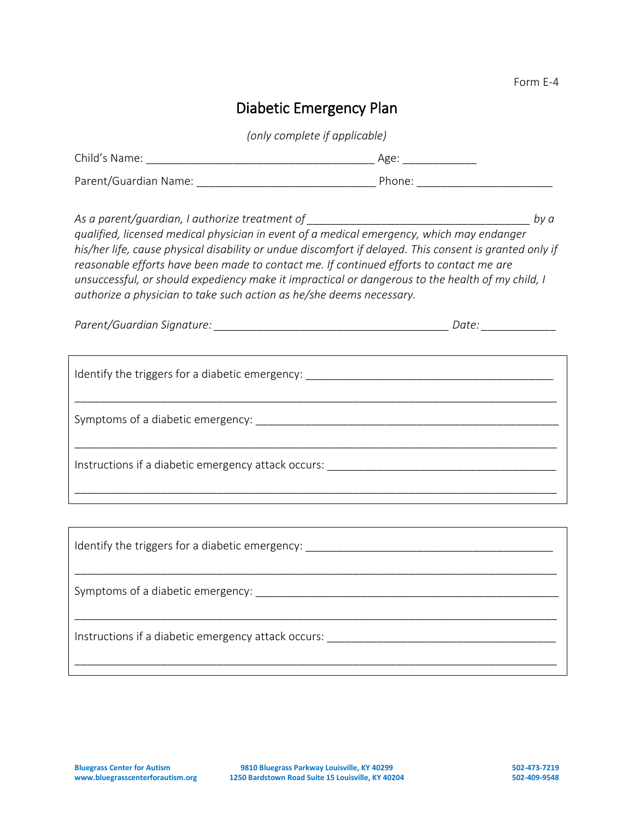# Diabetic Emergency Plan

*(only complete if applicable)*

| As a parent/guardian, I authorize treatment of __________________________________<br>qualified, licensed medical physician in event of a medical emergency, which may endanger<br>his/her life, cause physical disability or undue discomfort if delayed. This consent is granted only if<br>reasonable efforts have been made to contact me. If continued efforts to contact me are<br>unsuccessful, or should expediency make it impractical or dangerous to the health of my child, I<br>authorize a physician to take such action as he/she deems necessary. | by a |  |
|------------------------------------------------------------------------------------------------------------------------------------------------------------------------------------------------------------------------------------------------------------------------------------------------------------------------------------------------------------------------------------------------------------------------------------------------------------------------------------------------------------------------------------------------------------------|------|--|
|                                                                                                                                                                                                                                                                                                                                                                                                                                                                                                                                                                  |      |  |
|                                                                                                                                                                                                                                                                                                                                                                                                                                                                                                                                                                  |      |  |
|                                                                                                                                                                                                                                                                                                                                                                                                                                                                                                                                                                  |      |  |
|                                                                                                                                                                                                                                                                                                                                                                                                                                                                                                                                                                  |      |  |
|                                                                                                                                                                                                                                                                                                                                                                                                                                                                                                                                                                  |      |  |
|                                                                                                                                                                                                                                                                                                                                                                                                                                                                                                                                                                  |      |  |
|                                                                                                                                                                                                                                                                                                                                                                                                                                                                                                                                                                  |      |  |
|                                                                                                                                                                                                                                                                                                                                                                                                                                                                                                                                                                  |      |  |
|                                                                                                                                                                                                                                                                                                                                                                                                                                                                                                                                                                  |      |  |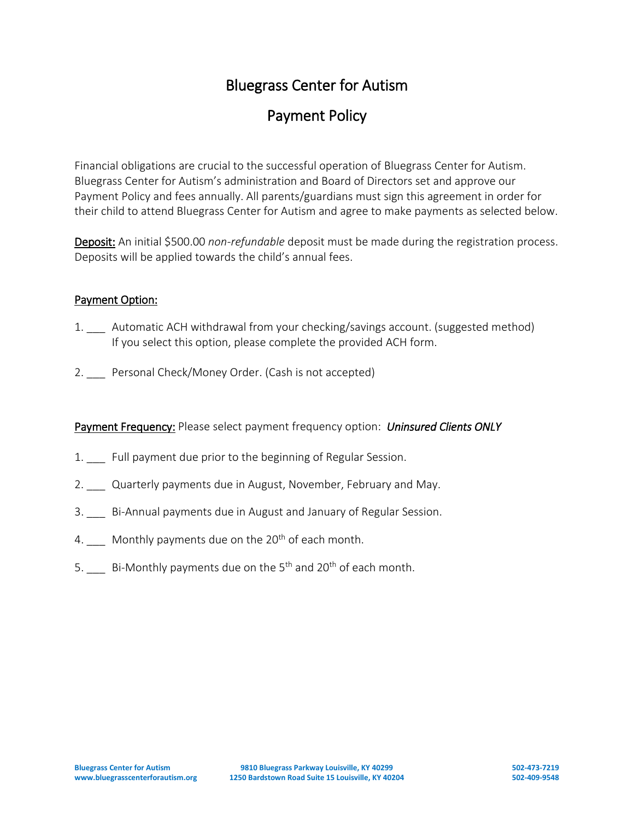# Payment Policy

Financial obligations are crucial to the successful operation of Bluegrass Center for Autism. Bluegrass Center for Autism's administration and Board of Directors set and approve our Payment Policy and fees annually. All parents/guardians must sign this agreement in order for their child to attend Bluegrass Center for Autism and agree to make payments as selected below.

Deposit: An initial \$500.00 *non-refundable* deposit must be made during the registration process. Deposits will be applied towards the child's annual fees.

### Payment Option:

- 1. Automatic ACH withdrawal from your checking/savings account. (suggested method) If you select this option, please complete the provided ACH form.
- 2. Personal Check/Money Order. (Cash is not accepted)

Payment Frequency: Please select payment frequency option: *Uninsured Clients ONLY* 

- 1. Eull payment due prior to the beginning of Regular Session.
- 2. Quarterly payments due in August, November, February and May.
- 3. \_\_\_ Bi-Annual payments due in August and January of Regular Session.
- 4. Monthly payments due on the  $20<sup>th</sup>$  of each month.
- 5.  $\qquad$  Bi-Monthly payments due on the 5<sup>th</sup> and 20<sup>th</sup> of each month.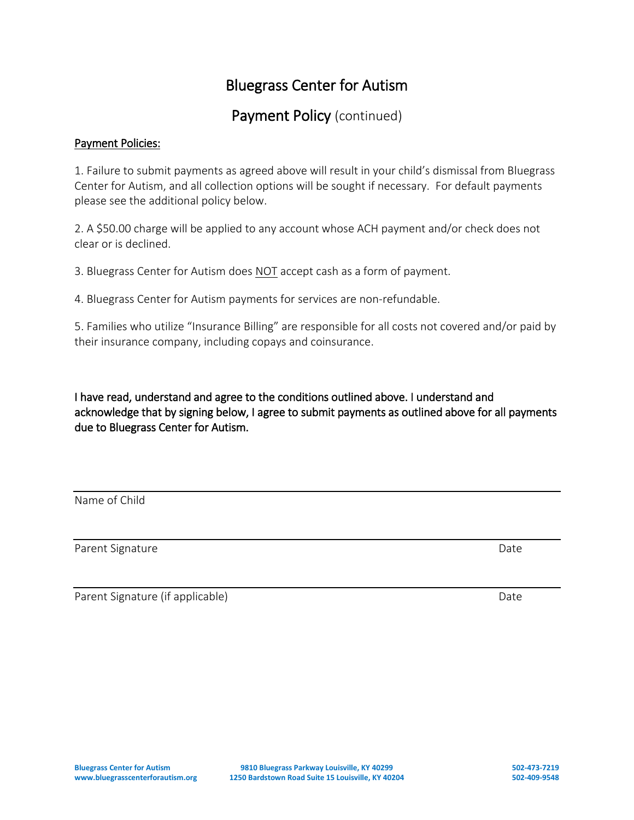## Payment Policy (continued)

### Payment Policies:

1. Failure to submit payments as agreed above will result in your child's dismissal from Bluegrass Center for Autism, and all collection options will be sought if necessary. For default payments please see the additional policy below.

2. A \$50.00 charge will be applied to any account whose ACH payment and/or check does not clear or is declined.

3. Bluegrass Center for Autism does NOT accept cash as a form of payment.

4. Bluegrass Center for Autism payments for services are non-refundable.

5. Families who utilize "Insurance Billing" are responsible for all costs not covered and/or paid by their insurance company, including copays and coinsurance.

I have read, understand and agree to the conditions outlined above. I understand and acknowledge that by signing below, I agree to submit payments as outlined above for all payments due to Bluegrass Center for Autism.

Name of Child

Parent Signature Date Date of the Date of the Date of the Date Date of the Date of the Date of the Date of the Date of the Date of the Date of the Date of the Date of the Date of the Date of the Date of the Date of the Dat

Parent Signature (if applicable) and the contract of the Date of Date Date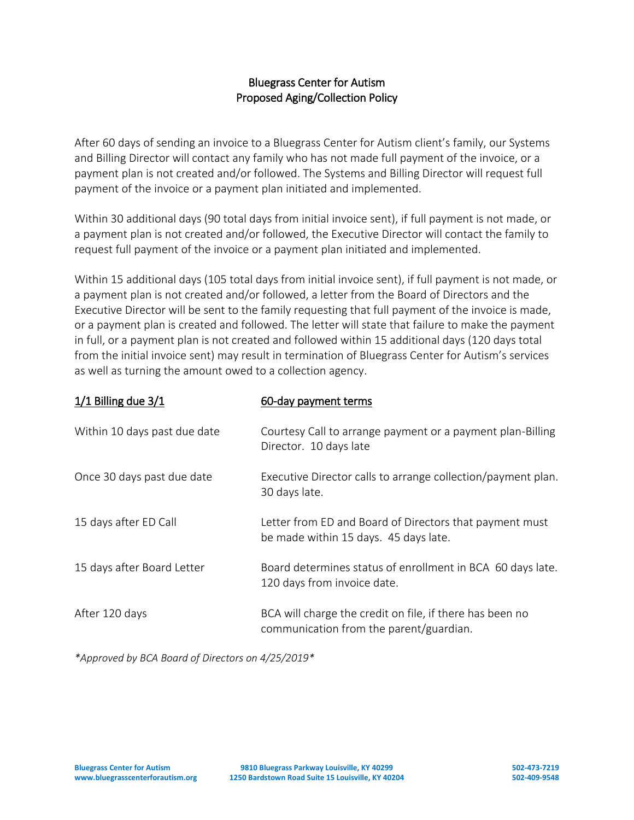### Bluegrass Center for Autism Proposed Aging/Collection Policy

After 60 days of sending an invoice to a Bluegrass Center for Autism client's family, our Systems and Billing Director will contact any family who has not made full payment of the invoice, or a payment plan is not created and/or followed. The Systems and Billing Director will request full payment of the invoice or a payment plan initiated and implemented.

Within 30 additional days (90 total days from initial invoice sent), if full payment is not made, or a payment plan is not created and/or followed, the Executive Director will contact the family to request full payment of the invoice or a payment plan initiated and implemented.

Within 15 additional days (105 total days from initial invoice sent), if full payment is not made, or a payment plan is not created and/or followed, a letter from the Board of Directors and the Executive Director will be sent to the family requesting that full payment of the invoice is made, or a payment plan is created and followed. The letter will state that failure to make the payment in full, or a payment plan is not created and followed within 15 additional days (120 days total from the initial invoice sent) may result in termination of Bluegrass Center for Autism's services as well as turning the amount owed to a collection agency.

| $1/1$ Billing due $3/1$      | 60-day payment terms                                                                                |
|------------------------------|-----------------------------------------------------------------------------------------------------|
| Within 10 days past due date | Courtesy Call to arrange payment or a payment plan-Billing<br>Director. 10 days late                |
| Once 30 days past due date   | Executive Director calls to arrange collection/payment plan.<br>30 days late.                       |
| 15 days after ED Call        | Letter from ED and Board of Directors that payment must<br>be made within 15 days. 45 days late.    |
| 15 days after Board Letter   | Board determines status of enrollment in BCA 60 days late.<br>120 days from invoice date.           |
| After 120 days               | BCA will charge the credit on file, if there has been no<br>communication from the parent/guardian. |

*\*Approved by BCA Board of Directors on 4/25/2019\**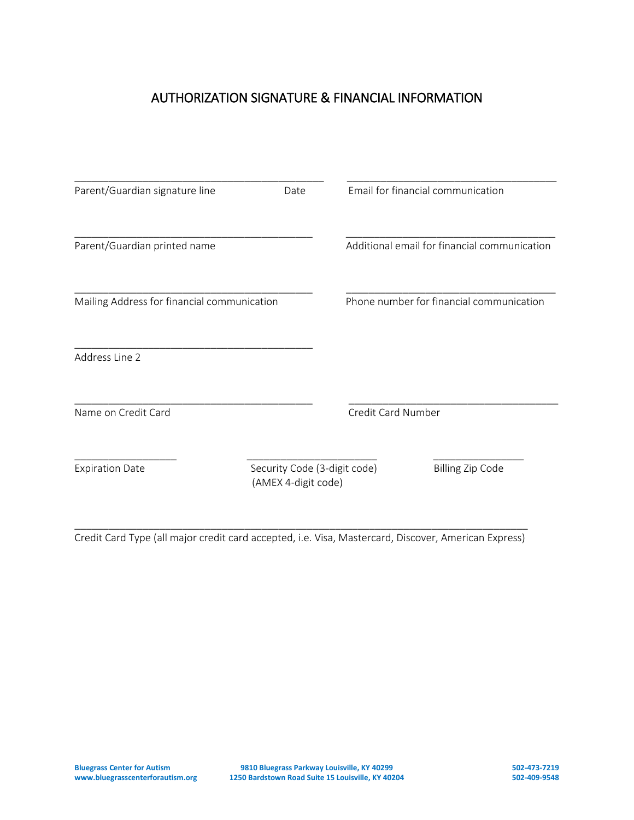## AUTHORIZATION SIGNATURE & FINANCIAL INFORMATION

| Parent/Guardian signature line              | Date                                                |                                          | Email for financial communication            |
|---------------------------------------------|-----------------------------------------------------|------------------------------------------|----------------------------------------------|
| Parent/Guardian printed name                |                                                     |                                          | Additional email for financial communication |
| Mailing Address for financial communication |                                                     | Phone number for financial communication |                                              |
| Address Line 2                              |                                                     |                                          |                                              |
| Name on Credit Card                         |                                                     | Credit Card Number                       |                                              |
| <b>Expiration Date</b>                      | Security Code (3-digit code)<br>(AMEX 4-digit code) |                                          | <b>Billing Zip Code</b>                      |
|                                             |                                                     |                                          |                                              |

\_\_\_\_\_\_\_\_\_\_\_\_\_\_\_\_\_\_\_\_\_\_\_\_\_\_\_\_\_\_\_\_\_\_\_\_\_\_\_\_\_\_\_\_\_\_\_\_\_\_\_\_\_\_\_\_\_\_\_\_\_\_\_\_\_\_\_\_\_\_\_\_\_\_\_\_\_\_\_\_ Credit Card Type (all major credit card accepted, i.e. Visa, Mastercard, Discover, American Express)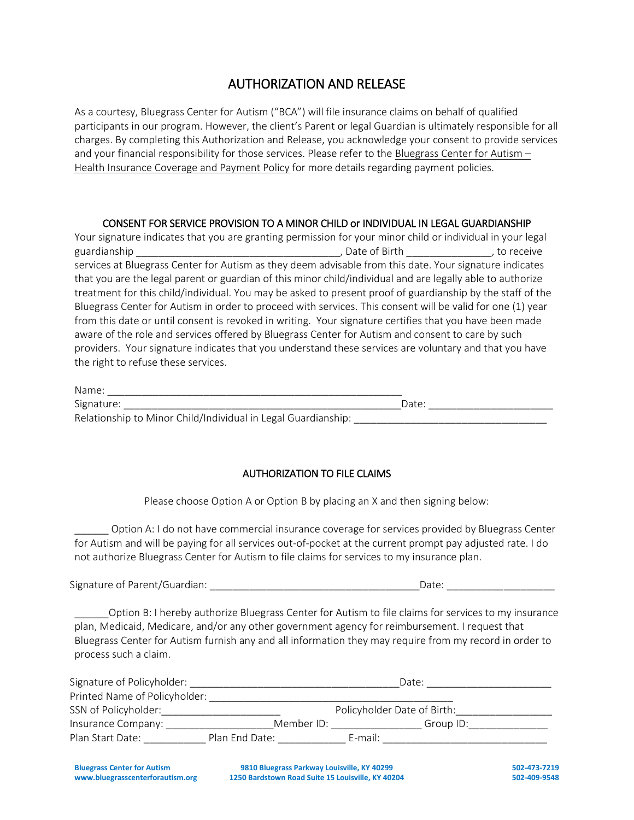### AUTHORIZATION AND RELEASE

As a courtesy, Bluegrass Center for Autism ("BCA") will file insurance claims on behalf of qualified participants in our program. However, the client's Parent or legal Guardian is ultimately responsible for all charges. By completing this Authorization and Release, you acknowledge your consent to provide services and your financial responsibility for those services. Please refer to the Bluegrass Center for Autism -Health Insurance Coverage and Payment Policy for more details regarding payment policies.

#### CONSENT FOR SERVICE PROVISION TO A MINOR CHILD or INDIVIDUAL IN LEGAL GUARDIANSHIP

Your signature indicates that you are granting permission for your minor child or individual in your legal guardianship \_\_\_\_\_\_\_\_\_\_\_\_\_\_\_\_\_\_\_\_\_\_\_\_\_\_\_\_\_\_\_\_\_\_\_\_, Date of Birth \_\_\_\_\_\_\_\_\_\_\_\_\_\_\_, to receive services at Bluegrass Center for Autism as they deem advisable from this date. Your signature indicates that you are the legal parent or guardian of this minor child/individual and are legally able to authorize treatment for this child/individual. You may be asked to present proof of guardianship by the staff of the Bluegrass Center for Autism in order to proceed with services. This consent will be valid for one (1) year from this date or until consent is revoked in writing. Your signature certifies that you have been made aware of the role and services offered by Bluegrass Center for Autism and consent to care by such providers. Your signature indicates that you understand these services are voluntary and that you have the right to refuse these services.

| Name:                                                         |       |  |
|---------------------------------------------------------------|-------|--|
| Signature:                                                    | Date: |  |
| Relationship to Minor Child/Individual in Legal Guardianship: |       |  |

#### AUTHORIZATION TO FILE CLAIMS

Please choose Option A or Option B by placing an X and then signing below:

\_\_\_\_\_\_ Option A: I do not have commercial insurance coverage for services provided by Bluegrass Center for Autism and will be paying for all services out-of-pocket at the current prompt pay adjusted rate. I do not authorize Bluegrass Center for Autism to file claims for services to my insurance plan.

Signature of Parent/Guardian: \_\_\_\_\_\_\_\_\_\_\_\_\_\_\_\_\_\_\_\_\_\_\_\_\_\_\_\_\_\_\_\_\_\_\_\_\_Date: \_\_\_\_\_\_\_\_\_\_\_\_\_\_\_\_\_\_\_

\_\_\_\_\_\_Option B: I hereby authorize Bluegrass Center for Autism to file claims for services to my insurance plan, Medicaid, Medicare, and/or any other government agency for reimbursement. I request that Bluegrass Center for Autism furnish any and all information they may require from my record in order to process such a claim.

| Signature of Policyholder:    |                | Date:                       |           |
|-------------------------------|----------------|-----------------------------|-----------|
| Printed Name of Policyholder: |                |                             |           |
| SSN of Policyholder:          |                | Policyholder Date of Birth: |           |
| Insurance Company:            | Member ID:     |                             | Group ID: |
| Plan Start Date:              | Plan End Date: | $E$ -mail:                  |           |

**Bluegrass Center for Autism 9810 Bluegrass Parkway Louisville, KY 40299 502-473-7219 www.bluegrasscenterforautism.org 1250 Bardstown Road Suite 15 Louisville, KY 40204 502-409-9548**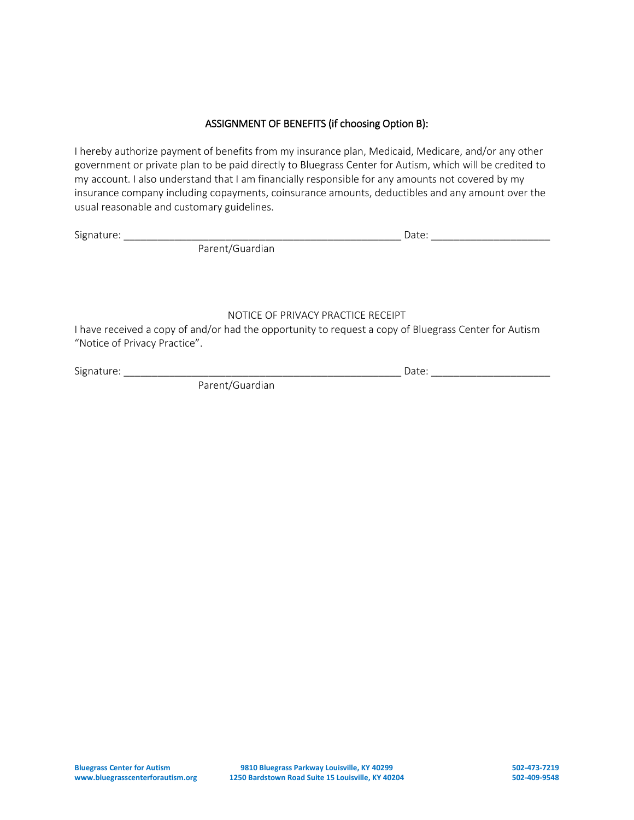#### ASSIGNMENT OF BENEFITS (if choosing Option B):

I hereby authorize payment of benefits from my insurance plan, Medicaid, Medicare, and/or any other government or private plan to be paid directly to Bluegrass Center for Autism, which will be credited to my account. I also understand that I am financially responsible for any amounts not covered by my insurance company including copayments, coinsurance amounts, deductibles and any amount over the usual reasonable and customary guidelines.

Signature: \_\_\_\_\_\_\_\_\_\_\_\_\_\_\_\_\_\_\_\_\_\_\_\_\_\_\_\_\_\_\_\_\_\_\_\_\_\_\_\_\_\_\_\_\_\_\_\_\_ Date: \_\_\_\_\_\_\_\_\_\_\_\_\_\_\_\_\_\_\_\_\_

Parent/Guardian

#### NOTICE OF PRIVACY PRACTICE RECEIPT

I have received a copy of and/or had the opportunity to request a copy of Bluegrass Center for Autism "Notice of Privacy Practice".

Signature: \_\_\_\_\_\_\_\_\_\_\_\_\_\_\_\_\_\_\_\_\_\_\_\_\_\_\_\_\_\_\_\_\_\_\_\_\_\_\_\_\_\_\_\_\_\_\_\_\_ Date: \_\_\_\_\_\_\_\_\_\_\_\_\_\_\_\_\_\_\_\_\_

Parent/Guardian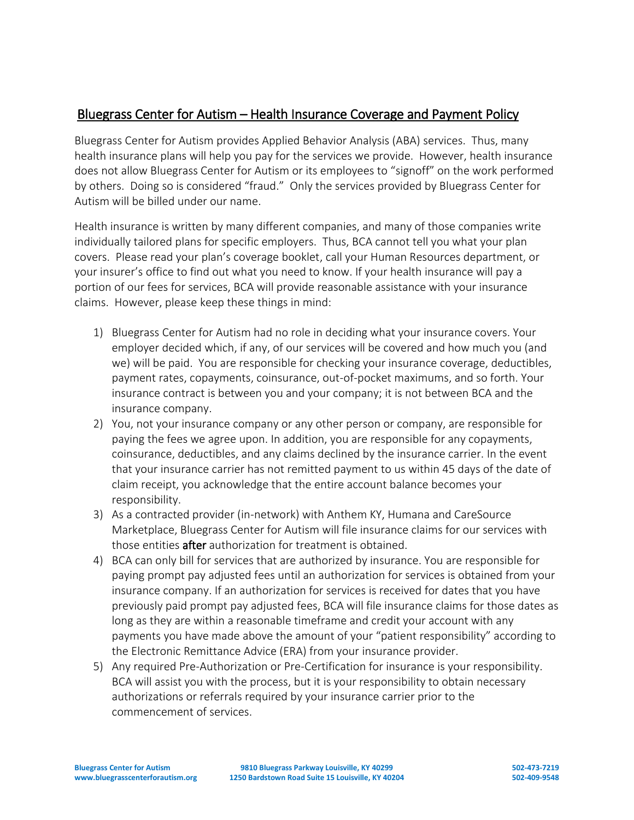## Bluegrass Center for Autism – Health Insurance Coverage and Payment Policy

Bluegrass Center for Autism provides Applied Behavior Analysis (ABA) services. Thus, many health insurance plans will help you pay for the services we provide. However, health insurance does not allow Bluegrass Center for Autism or its employees to "signoff" on the work performed by others. Doing so is considered "fraud." Only the services provided by Bluegrass Center for Autism will be billed under our name.

Health insurance is written by many different companies, and many of those companies write individually tailored plans for specific employers. Thus, BCA cannot tell you what your plan covers. Please read your plan's coverage booklet, call your Human Resources department, or your insurer's office to find out what you need to know. If your health insurance will pay a portion of our fees for services, BCA will provide reasonable assistance with your insurance claims. However, please keep these things in mind:

- 1) Bluegrass Center for Autism had no role in deciding what your insurance covers. Your employer decided which, if any, of our services will be covered and how much you (and we) will be paid. You are responsible for checking your insurance coverage, deductibles, payment rates, copayments, coinsurance, out-of-pocket maximums, and so forth. Your insurance contract is between you and your company; it is not between BCA and the insurance company.
- 2) You, not your insurance company or any other person or company, are responsible for paying the fees we agree upon. In addition, you are responsible for any copayments, coinsurance, deductibles, and any claims declined by the insurance carrier. In the event that your insurance carrier has not remitted payment to us within 45 days of the date of claim receipt, you acknowledge that the entire account balance becomes your responsibility.
- 3) As a contracted provider (in-network) with Anthem KY, Humana and CareSource Marketplace, Bluegrass Center for Autism will file insurance claims for our services with those entities after authorization for treatment is obtained.
- 4) BCA can only bill for services that are authorized by insurance. You are responsible for paying prompt pay adjusted fees until an authorization for services is obtained from your insurance company. If an authorization for services is received for dates that you have previously paid prompt pay adjusted fees, BCA will file insurance claims for those dates as long as they are within a reasonable timeframe and credit your account with any payments you have made above the amount of your "patient responsibility" according to the Electronic Remittance Advice (ERA) from your insurance provider.
- 5) Any required Pre-Authorization or Pre-Certification for insurance is your responsibility. BCA will assist you with the process, but it is your responsibility to obtain necessary authorizations or referrals required by your insurance carrier prior to the commencement of services.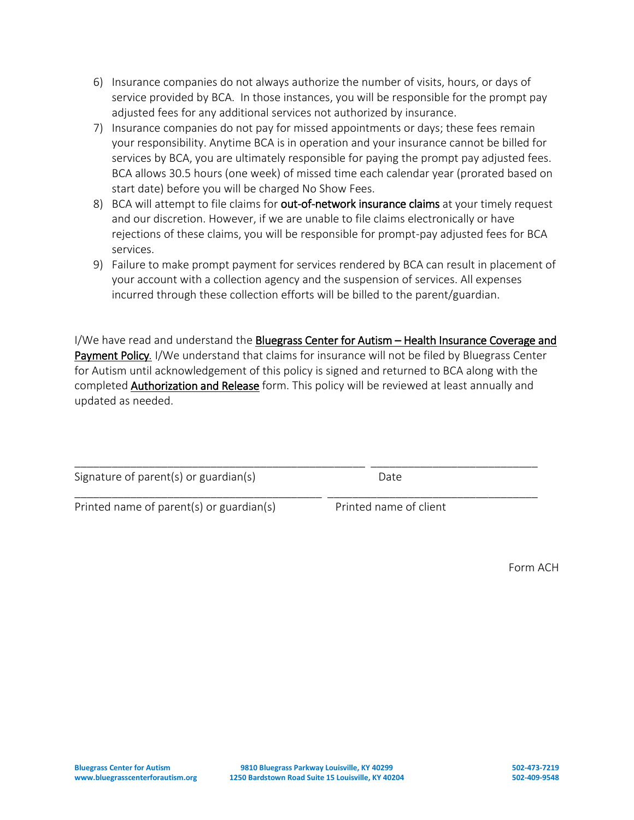- 6) Insurance companies do not always authorize the number of visits, hours, or days of service provided by BCA. In those instances, you will be responsible for the prompt pay adjusted fees for any additional services not authorized by insurance.
- 7) Insurance companies do not pay for missed appointments or days; these fees remain your responsibility. Anytime BCA is in operation and your insurance cannot be billed for services by BCA, you are ultimately responsible for paying the prompt pay adjusted fees. BCA allows 30.5 hours (one week) of missed time each calendar year (prorated based on start date) before you will be charged No Show Fees.
- 8) BCA will attempt to file claims for out-of-network insurance claims at your timely request and our discretion. However, if we are unable to file claims electronically or have rejections of these claims, you will be responsible for prompt-pay adjusted fees for BCA services.
- 9) Failure to make prompt payment for services rendered by BCA can result in placement of your account with a collection agency and the suspension of services. All expenses incurred through these collection efforts will be billed to the parent/guardian.

I/We have read and understand the Bluegrass Center for Autism - Health Insurance Coverage and Payment Policy*.* I/We understand that claims for insurance will not be filed by Bluegrass Center for Autism until acknowledgement of this policy is signed and returned to BCA along with the completed Authorization and Release form. This policy will be reviewed at least annually and updated as needed.

| Signature of parent(s) or guardian(s) | Date |  |
|---------------------------------------|------|--|
|                                       |      |  |

Printed name of parent(s) or guardian(s) Printed name of client

Form ACH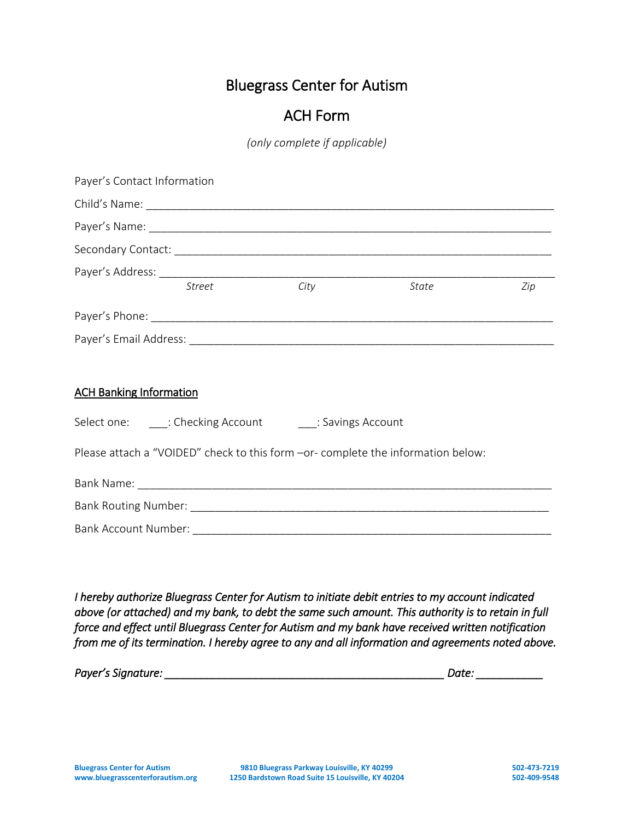## ACH Form

*(only complete if applicable)*

| Payer's Contact Information    |                                                             |                                                                                  |     |
|--------------------------------|-------------------------------------------------------------|----------------------------------------------------------------------------------|-----|
|                                |                                                             |                                                                                  |     |
|                                |                                                             |                                                                                  |     |
|                                |                                                             |                                                                                  |     |
|                                | Payer's Address: Street City Street Street City             |                                                                                  |     |
|                                |                                                             | State                                                                            | Zip |
|                                |                                                             |                                                                                  |     |
|                                |                                                             |                                                                                  |     |
|                                |                                                             |                                                                                  |     |
| <b>ACH Banking Information</b> |                                                             |                                                                                  |     |
|                                | Select one: _____: Checking Account ______: Savings Account |                                                                                  |     |
|                                |                                                             | Please attach a "VOIDED" check to this form -or- complete the information below: |     |
|                                |                                                             |                                                                                  |     |
|                                |                                                             |                                                                                  |     |
|                                |                                                             |                                                                                  |     |

*I hereby authorize Bluegrass Center for Autism to initiate debit entries to my account indicated above (or attached) and my bank, to debt the same such amount. This authority is to retain in full force and effect until Bluegrass Center for Autism and my bank have received written notification from me of its termination. I hereby agree to any and all information and agreements noted above.* 

*Payer's Signature: \_\_\_\_\_\_\_\_\_\_\_\_\_\_\_\_\_\_\_\_\_\_\_\_\_\_\_\_\_\_\_\_\_\_\_\_\_\_\_\_\_\_\_\_\_\_ Date: \_\_\_\_\_\_\_\_\_\_\_*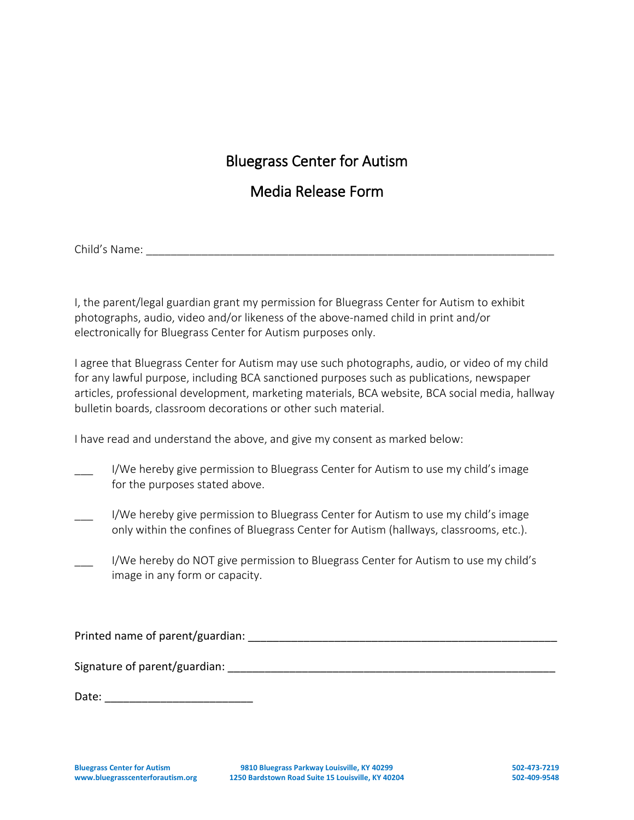## Media Release Form

Child's Name: \_\_\_\_\_\_\_\_\_\_\_\_\_\_\_\_\_\_\_\_\_\_\_\_\_\_\_\_\_\_\_\_\_\_\_\_\_\_\_\_\_\_\_\_\_\_\_\_\_\_\_\_\_\_\_\_\_\_\_\_\_\_\_\_\_\_

I, the parent/legal guardian grant my permission for Bluegrass Center for Autism to exhibit photographs, audio, video and/or likeness of the above-named child in print and/or electronically for Bluegrass Center for Autism purposes only.

I agree that Bluegrass Center for Autism may use such photographs, audio, or video of my child for any lawful purpose, including BCA sanctioned purposes such as publications, newspaper articles, professional development, marketing materials, BCA website, BCA social media, hallway bulletin boards, classroom decorations or other such material.

I have read and understand the above, and give my consent as marked below:

- I/We hereby give permission to Bluegrass Center for Autism to use my child's image for the purposes stated above.
- I/We hereby give permission to Bluegrass Center for Autism to use my child's image only within the confines of Bluegrass Center for Autism (hallways, classrooms, etc.).
- I/We hereby do NOT give permission to Bluegrass Center for Autism to use my child's image in any form or capacity.

Printed name of parent/guardian: \_\_\_\_\_\_\_\_\_\_\_\_\_\_\_\_\_\_\_\_\_\_\_\_\_\_\_\_\_\_\_\_\_\_\_\_\_\_\_\_\_\_\_\_\_\_\_\_\_\_

Signature of parent/guardian:  $\frac{1}{2}$ 

Date: \_\_\_\_\_\_\_\_\_\_\_\_\_\_\_\_\_\_\_\_\_\_\_\_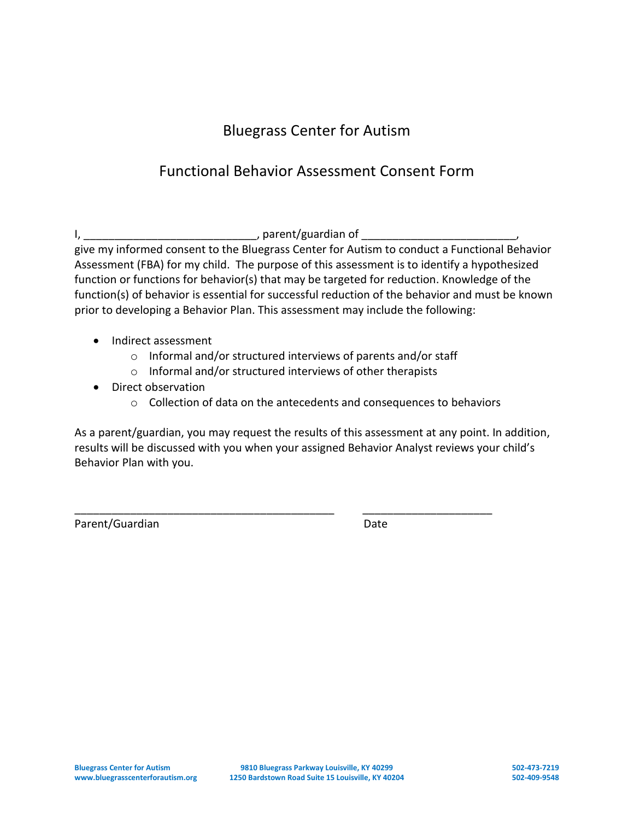# Functional Behavior Assessment Consent Form

I, \_\_\_\_\_\_\_\_\_\_\_\_\_\_\_\_\_\_\_\_\_\_\_\_\_\_\_\_, parent/guardian of \_\_\_\_\_\_\_\_\_\_\_\_\_\_\_\_\_\_\_\_\_\_\_\_\_, give my informed consent to the Bluegrass Center for Autism to conduct a Functional Behavior Assessment (FBA) for my child. The purpose of this assessment is to identify a hypothesized function or functions for behavior(s) that may be targeted for reduction. Knowledge of the function(s) of behavior is essential for successful reduction of the behavior and must be known prior to developing a Behavior Plan. This assessment may include the following:

- Indirect assessment
	- o Informal and/or structured interviews of parents and/or staff
	- o Informal and/or structured interviews of other therapists

\_\_\_\_\_\_\_\_\_\_\_\_\_\_\_\_\_\_\_\_\_\_\_\_\_\_\_\_\_\_\_\_\_\_\_\_\_\_\_\_\_\_ \_\_\_\_\_\_\_\_\_\_\_\_\_\_\_\_\_\_\_\_\_

- Direct observation
	- o Collection of data on the antecedents and consequences to behaviors

As a parent/guardian, you may request the results of this assessment at any point. In addition, results will be discussed with you when your assigned Behavior Analyst reviews your child's Behavior Plan with you.

Parent/Guardian Date